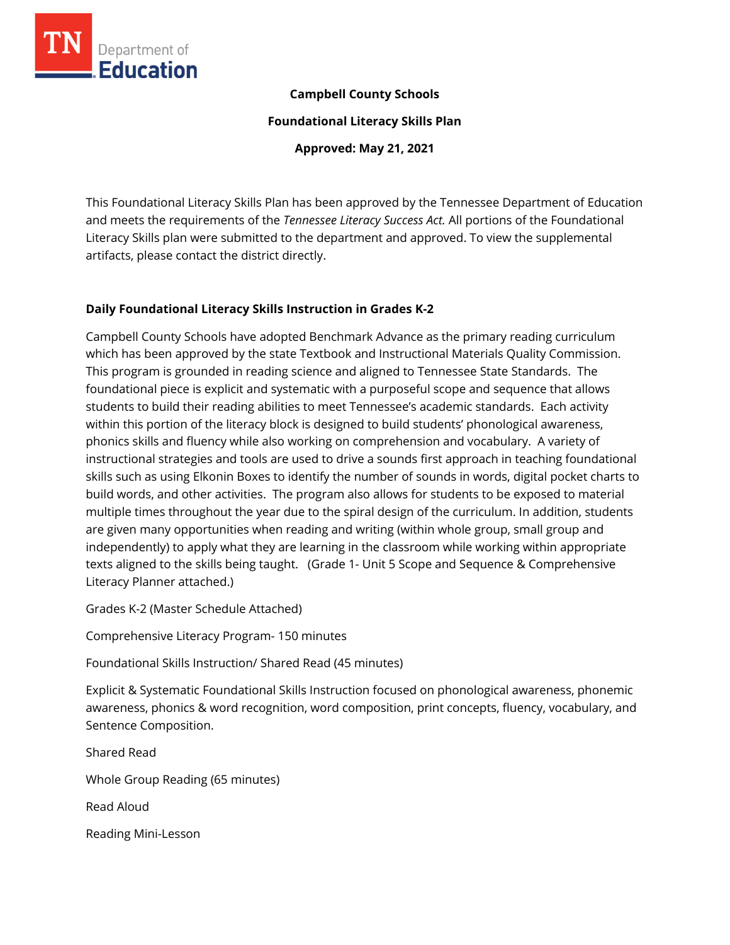

# **Campbell County Schools**

**Foundational Literacy Skills Plan**

**Approved: May 21, 2021**

This Foundational Literacy Skills Plan has been approved by the Tennessee Department of Education and meets the requirements of the *Tennessee Literacy Success Act.* All portions of the Foundational Literacy Skills plan were submitted to the department and approved. To view the supplemental artifacts, please contact the district directly.

# **Daily Foundational Literacy Skills Instruction in Grades K-2**

Campbell County Schools have adopted Benchmark Advance as the primary reading curriculum which has been approved by the state Textbook and Instructional Materials Quality Commission. This program is grounded in reading science and aligned to Tennessee State Standards. The foundational piece is explicit and systematic with a purposeful scope and sequence that allows students to build their reading abilities to meet Tennessee's academic standards. Each activity within this portion of the literacy block is designed to build students' phonological awareness, phonics skills and fluency while also working on comprehension and vocabulary. A variety of instructional strategies and tools are used to drive a sounds first approach in teaching foundational skills such as using Elkonin Boxes to identify the number of sounds in words, digital pocket charts to build words, and other activities. The program also allows for students to be exposed to material multiple times throughout the year due to the spiral design of the curriculum. In addition, students are given many opportunities when reading and writing (within whole group, small group and independently) to apply what they are learning in the classroom while working within appropriate texts aligned to the skills being taught. (Grade 1- Unit 5 Scope and Sequence & Comprehensive Literacy Planner attached.)

Grades K-2 (Master Schedule Attached)

Comprehensive Literacy Program- 150 minutes

Foundational Skills Instruction/ Shared Read (45 minutes)

Explicit & Systematic Foundational Skills Instruction focused on phonological awareness, phonemic awareness, phonics & word recognition, word composition, print concepts, fluency, vocabulary, and Sentence Composition.

Shared Read Whole Group Reading (65 minutes) Read Aloud Reading Mini-Lesson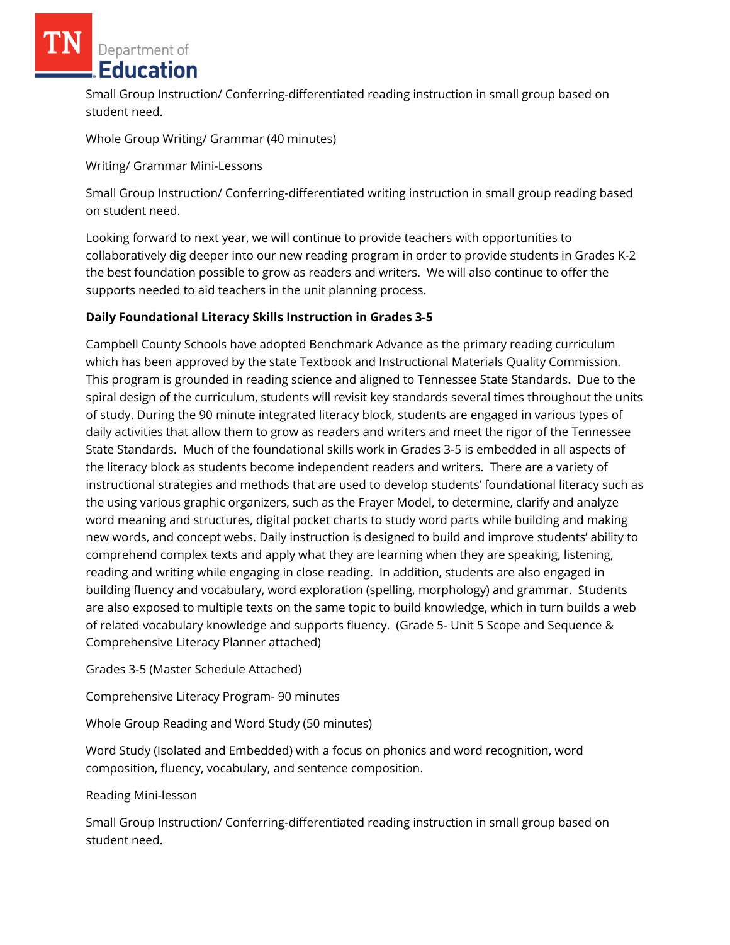Small Group Instruction/ Conferring-differentiated reading instruction in small group based on student need.

Whole Group Writing/ Grammar (40 minutes)

Writing/ Grammar Mini-Lessons

Small Group Instruction/ Conferring-differentiated writing instruction in small group reading based on student need.

Looking forward to next year, we will continue to provide teachers with opportunities to collaboratively dig deeper into our new reading program in order to provide students in Grades K-2 the best foundation possible to grow as readers and writers. We will also continue to offer the supports needed to aid teachers in the unit planning process.

# **Daily Foundational Literacy Skills Instruction in Grades 3-5**

Campbell County Schools have adopted Benchmark Advance as the primary reading curriculum which has been approved by the state Textbook and Instructional Materials Quality Commission. This program is grounded in reading science and aligned to Tennessee State Standards. Due to the spiral design of the curriculum, students will revisit key standards several times throughout the units of study. During the 90 minute integrated literacy block, students are engaged in various types of daily activities that allow them to grow as readers and writers and meet the rigor of the Tennessee State Standards. Much of the foundational skills work in Grades 3-5 is embedded in all aspects of the literacy block as students become independent readers and writers. There are a variety of instructional strategies and methods that are used to develop students' foundational literacy such as the using various graphic organizers, such as the Frayer Model, to determine, clarify and analyze word meaning and structures, digital pocket charts to study word parts while building and making new words, and concept webs. Daily instruction is designed to build and improve students' ability to comprehend complex texts and apply what they are learning when they are speaking, listening, reading and writing while engaging in close reading. In addition, students are also engaged in building fluency and vocabulary, word exploration (spelling, morphology) and grammar. Students are also exposed to multiple texts on the same topic to build knowledge, which in turn builds a web of related vocabulary knowledge and supports fluency. (Grade 5- Unit 5 Scope and Sequence & Comprehensive Literacy Planner attached)

Grades 3-5 (Master Schedule Attached)

Comprehensive Literacy Program- 90 minutes

Whole Group Reading and Word Study (50 minutes)

Word Study (Isolated and Embedded) with a focus on phonics and word recognition, word composition, fluency, vocabulary, and sentence composition.

# Reading Mini-lesson

Small Group Instruction/ Conferring-differentiated reading instruction in small group based on student need.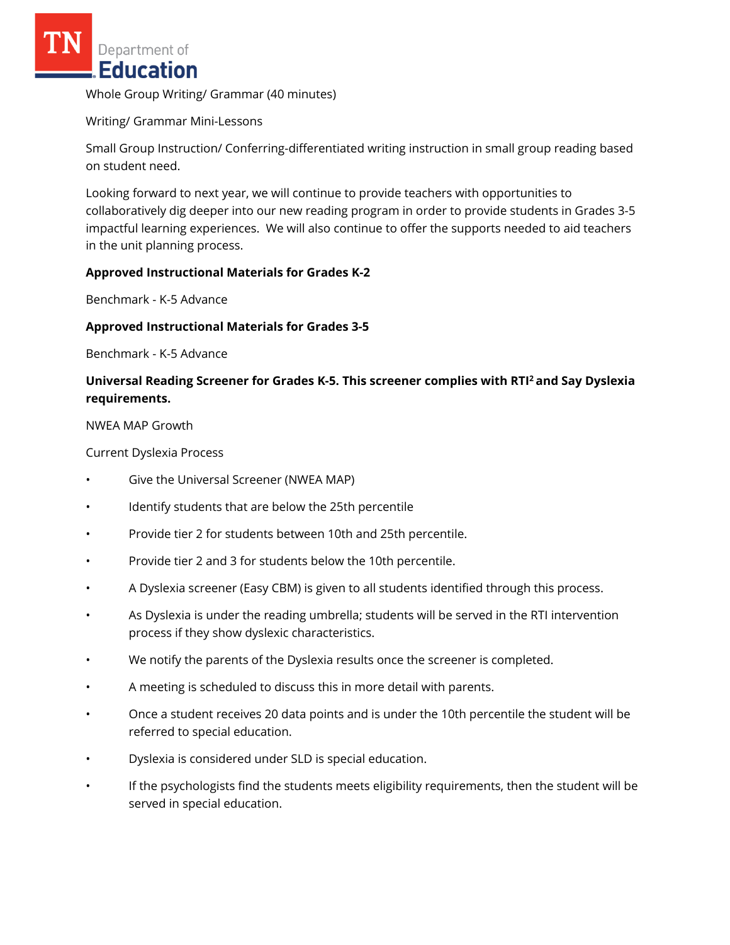Whole Group Writing/ Grammar (40 minutes)

Writing/ Grammar Mini-Lessons

Small Group Instruction/ Conferring-differentiated writing instruction in small group reading based on student need.

Looking forward to next year, we will continue to provide teachers with opportunities to collaboratively dig deeper into our new reading program in order to provide students in Grades 3-5 impactful learning experiences. We will also continue to offer the supports needed to aid teachers in the unit planning process.

#### **Approved Instructional Materials for Grades K-2**

Benchmark - K-5 Advance

#### **Approved Instructional Materials for Grades 3-5**

Benchmark - K-5 Advance

# **Universal Reading Screener for Grades K-5. This screener complies with RTI<sup>2</sup>and Say Dyslexia requirements.**

#### NWEA MAP Growth

Current Dyslexia Process

- Give the Universal Screener (NWEA MAP)
- Identify students that are below the 25th percentile
- Provide tier 2 for students between 10th and 25th percentile.
- Provide tier 2 and 3 for students below the 10th percentile.
- A Dyslexia screener (Easy CBM) is given to all students identified through this process.
- As Dyslexia is under the reading umbrella; students will be served in the RTI intervention process if they show dyslexic characteristics.
- We notify the parents of the Dyslexia results once the screener is completed.
- A meeting is scheduled to discuss this in more detail with parents.
- Once a student receives 20 data points and is under the 10th percentile the student will be referred to special education.
- Dyslexia is considered under SLD is special education.
- If the psychologists find the students meets eligibility requirements, then the student will be served in special education.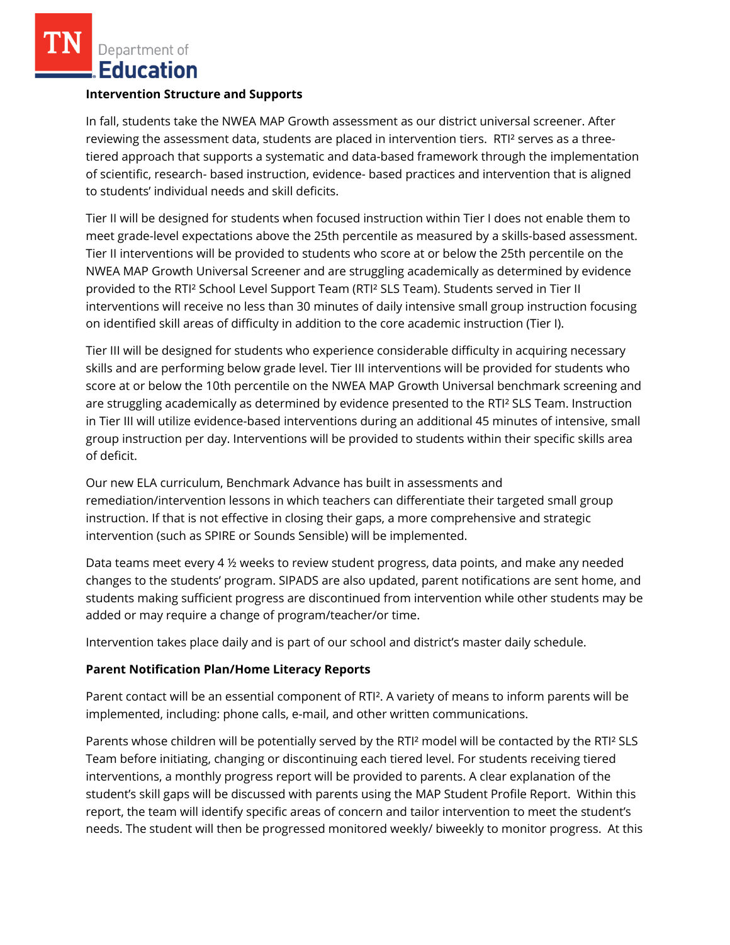# **Intervention Structure and Supports**

In fall, students take the NWEA MAP Growth assessment as our district universal screener. After reviewing the assessment data, students are placed in intervention tiers. RTI² serves as a threetiered approach that supports a systematic and data-based framework through the implementation of scientific, research- based instruction, evidence- based practices and intervention that is aligned to students' individual needs and skill deficits.

Tier II will be designed for students when focused instruction within Tier I does not enable them to meet grade-level expectations above the 25th percentile as measured by a skills-based assessment. Tier II interventions will be provided to students who score at or below the 25th percentile on the NWEA MAP Growth Universal Screener and are struggling academically as determined by evidence provided to the RTI² School Level Support Team (RTI² SLS Team). Students served in Tier II interventions will receive no less than 30 minutes of daily intensive small group instruction focusing on identified skill areas of difficulty in addition to the core academic instruction (Tier I).

Tier III will be designed for students who experience considerable difficulty in acquiring necessary skills and are performing below grade level. Tier III interventions will be provided for students who score at or below the 10th percentile on the NWEA MAP Growth Universal benchmark screening and are struggling academically as determined by evidence presented to the RTI² SLS Team. Instruction in Tier III will utilize evidence-based interventions during an additional 45 minutes of intensive, small group instruction per day. Interventions will be provided to students within their specific skills area of deficit.

Our new ELA curriculum, Benchmark Advance has built in assessments and remediation/intervention lessons in which teachers can differentiate their targeted small group instruction. If that is not effective in closing their gaps, a more comprehensive and strategic intervention (such as SPIRE or Sounds Sensible) will be implemented.

Data teams meet every 4 ½ weeks to review student progress, data points, and make any needed changes to the students' program. SIPADS are also updated, parent notifications are sent home, and students making sufficient progress are discontinued from intervention while other students may be added or may require a change of program/teacher/or time.

Intervention takes place daily and is part of our school and district's master daily schedule.

# **Parent Notification Plan/Home Literacy Reports**

Parent contact will be an essential component of RTI². A variety of means to inform parents will be implemented, including: phone calls, e-mail, and other written communications.

Parents whose children will be potentially served by the RTI² model will be contacted by the RTI² SLS Team before initiating, changing or discontinuing each tiered level. For students receiving tiered interventions, a monthly progress report will be provided to parents. A clear explanation of the student's skill gaps will be discussed with parents using the MAP Student Profile Report. Within this report, the team will identify specific areas of concern and tailor intervention to meet the student's needs. The student will then be progressed monitored weekly/ biweekly to monitor progress. At this